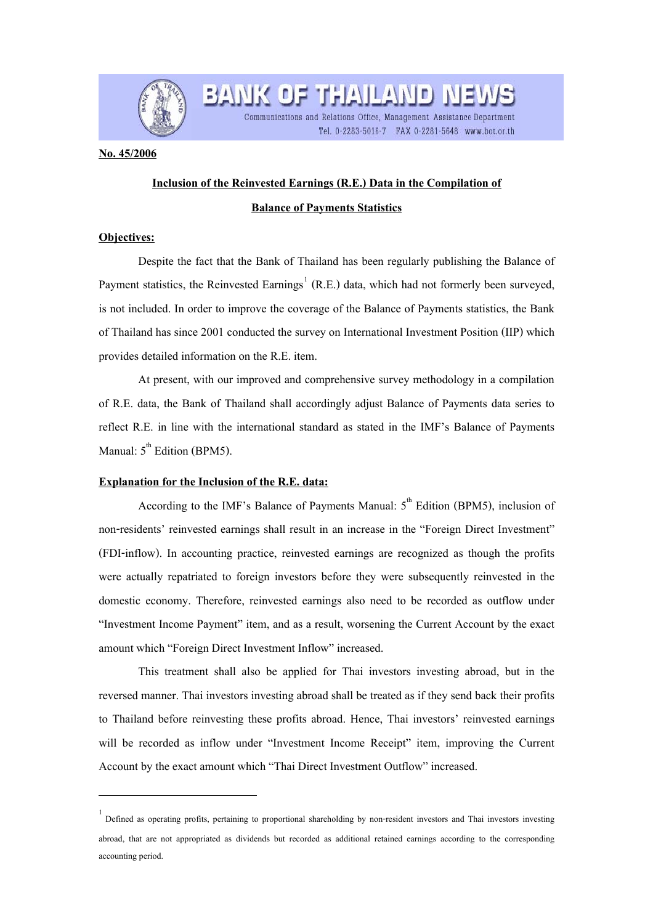

# **Inclusion of the Reinvested Earnings (R.E.) Data in the Compilation of**

**BANK OF THAILAND NET** 

Communications and Relations Office, Management Assistance Department

Tel. 0-2283-5016-7 FAX 0-2281-5648 www.bot.or.th

## **Balance of Payments Statistics**

### **Objectives:**

֦

**No. 45/2006**

 Despite the fact that the Bank of Thailand has been regularly publishing the Balance of Payment statistics, the Reinvested Earnings<sup>[1](#page-0-0)</sup> (R.E.) data, which had not formerly been surveyed, is not included. In order to improve the coverage of the Balance of Payments statistics, the Bank of Thailand has since 2001 conducted the survey on International Investment Position (IIP) which provides detailed information on the R.E. item.

At present, with our improved and comprehensive survey methodology in a compilation of R.E. data, the Bank of Thailand shall accordingly adjust Balance of Payments data series to reflect R.E. in line with the international standard as stated in the IMF's Balance of Payments Manual:  $5<sup>th</sup>$  Edition (BPM5).

### **Explanation for the Inclusion of the R.E. data:**

According to the IMF's Balance of Payments Manual:  $5<sup>th</sup>$  Edition (BPM5), inclusion of non-residents' reinvested earnings shall result in an increase in the "Foreign Direct Investment" (FDI-inflow). In accounting practice, reinvested earnings are recognized as though the profits were actually repatriated to foreign investors before they were subsequently reinvested in the domestic economy. Therefore, reinvested earnings also need to be recorded as outflow under "Investment Income Payment" item, and as a result, worsening the Current Account by the exact amount which "Foreign Direct Investment Inflow" increased.

This treatment shall also be applied for Thai investors investing abroad, but in the reversed manner. Thai investors investing abroad shall be treated as if they send back their profits to Thailand before reinvesting these profits abroad. Hence, Thai investors' reinvested earnings will be recorded as inflow under "Investment Income Receipt" item, improving the Current Account by the exact amount which "Thai Direct Investment Outflow" increased.

<span id="page-0-0"></span><sup>1</sup> Defined as operating profits, pertaining to proportional shareholding by non-resident investors and Thai investors investing abroad, that are not appropriated as dividends but recorded as additional retained earnings according to the corresponding accounting period.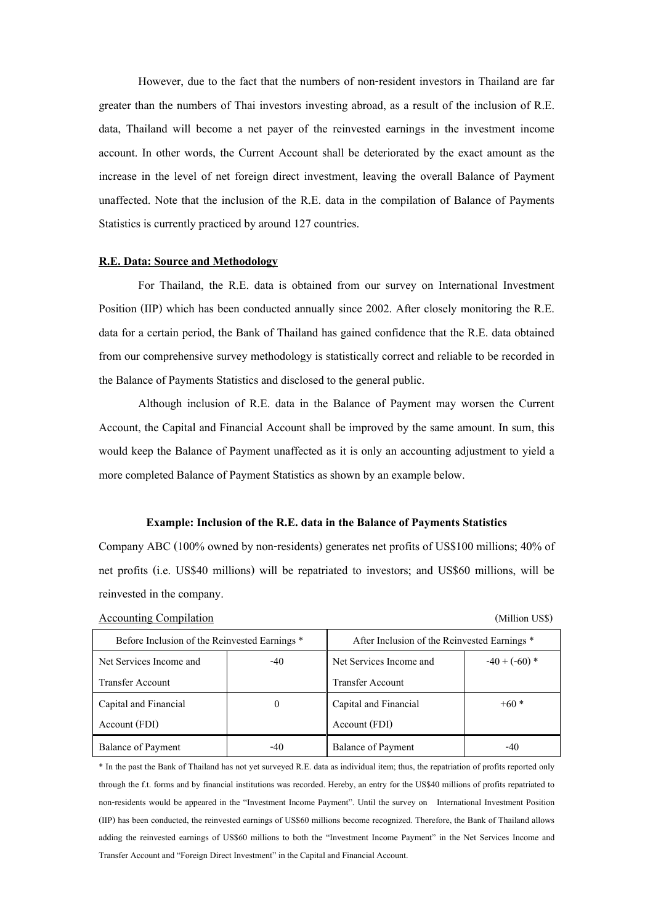However, due to the fact that the numbers of non-resident investors in Thailand are far greater than the numbers of Thai investors investing abroad, as a result of the inclusion of R.E. data, Thailand will become a net payer of the reinvested earnings in the investment income account. In other words, the Current Account shall be deteriorated by the exact amount as the increase in the level of net foreign direct investment, leaving the overall Balance of Payment unaffected. Note that the inclusion of the R.E. data in the compilation of Balance of Payments Statistics is currently practiced by around 127 countries.

#### **R.E. Data: Source and Methodology**

For Thailand, the R.E. data is obtained from our survey on International Investment Position (IIP) which has been conducted annually since 2002. After closely monitoring the R.E. data for a certain period, the Bank of Thailand has gained confidence that the R.E. data obtained from our comprehensive survey methodology is statistically correct and reliable to be recorded in the Balance of Payments Statistics and disclosed to the general public.

Although inclusion of R.E. data in the Balance of Payment may worsen the Current Account, the Capital and Financial Account shall be improved by the same amount. In sum, this would keep the Balance of Payment unaffected as it is only an accounting adjustment to yield a more completed Balance of Payment Statistics as shown by an example below.

## **Example: Inclusion of the R.E. data in the Balance of Payments Statistics**

Company ABC (100% owned by non-residents) generates net profits of US\$100 millions; 40% of net profits (i.e. US\$40 millions) will be repatriated to investors; and US\$60 millions, will be reinvested in the company.

| <b>Accounting Compilation</b> | (Million US\$) |
|-------------------------------|----------------|
|-------------------------------|----------------|

|  | (Million US\$) |  |
|--|----------------|--|
|  |                |  |
|  |                |  |

| Before Inclusion of the Reinvested Earnings * |       | After Inclusion of the Reinvested Earnings * |                 |  |  |
|-----------------------------------------------|-------|----------------------------------------------|-----------------|--|--|
| Net Services Income and                       | $-40$ | Net Services Income and                      | $-40 + (-60)$ * |  |  |
| <b>Transfer Account</b>                       |       | <b>Transfer Account</b>                      |                 |  |  |
| Capital and Financial                         | 0     | Capital and Financial                        | $+60*$          |  |  |
| Account (FDI)                                 |       | Account (FDI)                                |                 |  |  |
| Balance of Payment                            | $-40$ | <b>Balance of Payment</b>                    | $-40$           |  |  |

\* In the past the Bank of Thailand has not yet surveyed R.E. data as individual item; thus, the repatriation of profits reported only through the f.t. forms and by financial institutions was recorded. Hereby, an entry for the US\$40 millions of profits repatriated to non-residents would be appeared in the "Investment Income Payment". Until the survey on International Investment Position (IIP) has been conducted, the reinvested earnings of US\$60 millions become recognized. Therefore, the Bank of Thailand allows adding the reinvested earnings of US\$60 millions to both the "Investment Income Payment" in the Net Services Income and Transfer Account and "Foreign Direct Investment" in the Capital and Financial Account.